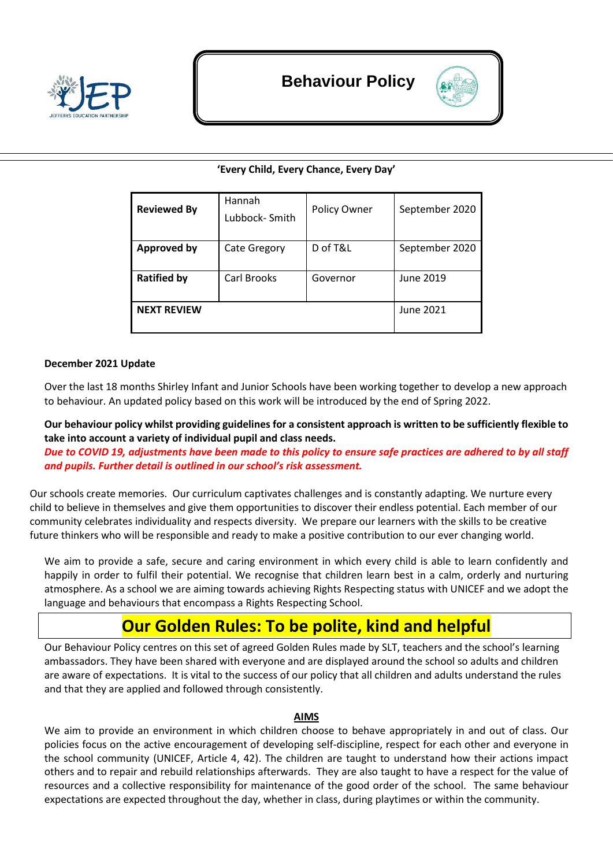



# **'Every Child, Every Chance, Every Day'**

| <b>Reviewed By</b> | Hannah<br>Lubbock-Smith | Policy Owner | September 2020 |
|--------------------|-------------------------|--------------|----------------|
| <b>Approved by</b> | Cate Gregory            | D of T&L     | September 2020 |
| <b>Ratified by</b> | Carl Brooks             | Governor     | June 2019      |
| <b>NEXT REVIEW</b> |                         |              | June 2021      |

## **December 2021 Update**

Over the last 18 months Shirley Infant and Junior Schools have been working together to develop a new approach to behaviour. An updated policy based on this work will be introduced by the end of Spring 2022.

**Our behaviour policy whilst providing guidelines for a consistent approach is written to be sufficiently flexible to take into account a variety of individual pupil and class needs.**

*Due to COVID 19, adjustments have been made to this policy to ensure safe practices are adhered to by all staff and pupils. Further detail is outlined in our school's risk assessment.*

Our schools create memories. Our curriculum captivates challenges and is constantly adapting. We nurture every child to believe in themselves and give them opportunities to discover their endless potential. Each member of our community celebrates individuality and respects diversity. We prepare our learners with the skills to be creative future thinkers who will be responsible and ready to make a positive contribution to our ever changing world.

We aim to provide a safe, secure and caring environment in which every child is able to learn confidently and happily in order to fulfil their potential. We recognise that children learn best in a calm, orderly and nurturing atmosphere. As a school we are aiming towards achieving Rights Respecting status with UNICEF and we adopt the language and behaviours that encompass a Rights Respecting School.

# **Our Golden Rules: To be polite, kind and helpful**

Our Behaviour Policy centres on this set of agreed Golden Rules made by SLT, teachers and the school's learning ambassadors. They have been shared with everyone and are displayed around the school so adults and children are aware of expectations. It is vital to the success of our policy that all children and adults understand the rules and that they are applied and followed through consistently.

#### **AIMS**

We aim to provide an environment in which children choose to behave appropriately in and out of class. Our policies focus on the active encouragement of developing self-discipline, respect for each other and everyone in the school community (UNICEF, Article 4, 42). The children are taught to understand how their actions impact others and to repair and rebuild relationships afterwards. They are also taught to have a respect for the value of resources and a collective responsibility for maintenance of the good order of the school. The same behaviour expectations are expected throughout the day, whether in class, during playtimes or within the community.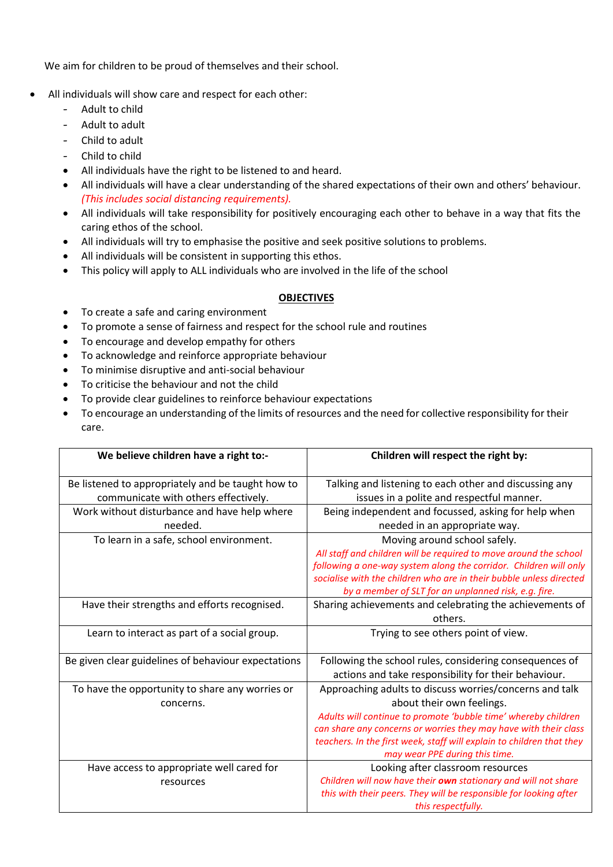We aim for children to be proud of themselves and their school.

- All individuals will show care and respect for each other:
	- Adult to child
	- Adult to adult
	- Child to adult
	- Child to child
	- All individuals have the right to be listened to and heard.
	- All individuals will have a clear understanding of the shared expectations of their own and others' behaviour. *(This includes social distancing requirements).*
	- All individuals will take responsibility for positively encouraging each other to behave in a way that fits the caring ethos of the school.
	- All individuals will try to emphasise the positive and seek positive solutions to problems.
	- All individuals will be consistent in supporting this ethos.
	- This policy will apply to ALL individuals who are involved in the life of the school

## **OBJECTIVES**

- To create a safe and caring environment
- To promote a sense of fairness and respect for the school rule and routines
- To encourage and develop empathy for others
- To acknowledge and reinforce appropriate behaviour
- To minimise disruptive and anti-social behaviour
- To criticise the behaviour and not the child
- To provide clear guidelines to reinforce behaviour expectations
- To encourage an understanding of the limits of resources and the need for collective responsibility for their care.

| We believe children have a right to:-               | Children will respect the right by:                                   |
|-----------------------------------------------------|-----------------------------------------------------------------------|
| Be listened to appropriately and be taught how to   | Talking and listening to each other and discussing any                |
| communicate with others effectively.                | issues in a polite and respectful manner.                             |
| Work without disturbance and have help where        | Being independent and focussed, asking for help when                  |
| needed.                                             | needed in an appropriate way.                                         |
| To learn in a safe, school environment.             | Moving around school safely.                                          |
|                                                     | All staff and children will be required to move around the school     |
|                                                     | following a one-way system along the corridor. Children will only     |
|                                                     | socialise with the children who are in their bubble unless directed   |
|                                                     | by a member of SLT for an unplanned risk, e.g. fire.                  |
| Have their strengths and efforts recognised.        | Sharing achievements and celebrating the achievements of              |
|                                                     | others.                                                               |
| Learn to interact as part of a social group.        | Trying to see others point of view.                                   |
| Be given clear guidelines of behaviour expectations | Following the school rules, considering consequences of               |
|                                                     | actions and take responsibility for their behaviour.                  |
| To have the opportunity to share any worries or     | Approaching adults to discuss worries/concerns and talk               |
| concerns.                                           | about their own feelings.                                             |
|                                                     | Adults will continue to promote 'bubble time' whereby children        |
|                                                     | can share any concerns or worries they may have with their class      |
|                                                     | teachers. In the first week, staff will explain to children that they |
|                                                     | may wear PPE during this time.                                        |
| Have access to appropriate well cared for           | Looking after classroom resources                                     |
| resources                                           | Children will now have their own stationary and will not share        |
|                                                     | this with their peers. They will be responsible for looking after     |
|                                                     | this respectfully.                                                    |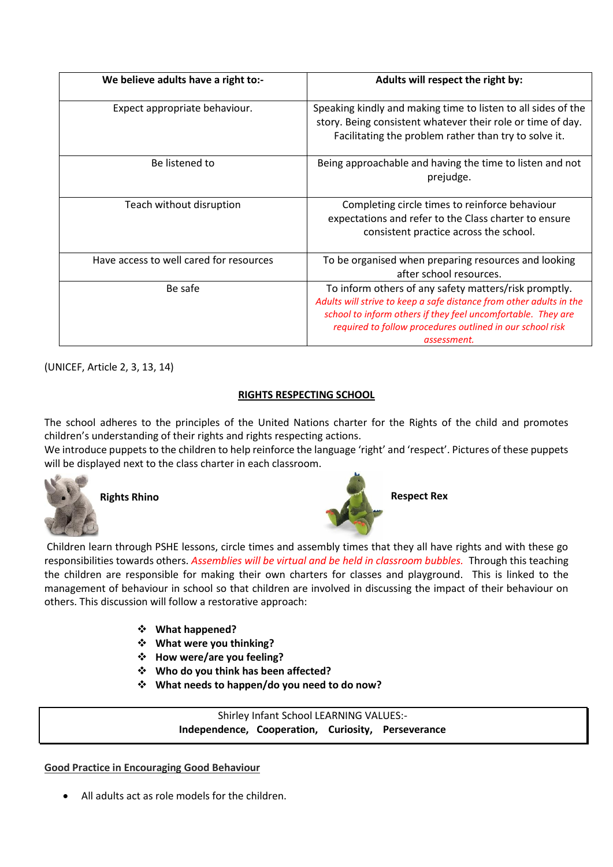| We believe adults have a right to:-     | Adults will respect the right by:                                                                                                                                                                                                                                        |
|-----------------------------------------|--------------------------------------------------------------------------------------------------------------------------------------------------------------------------------------------------------------------------------------------------------------------------|
| Expect appropriate behaviour.           | Speaking kindly and making time to listen to all sides of the<br>story. Being consistent whatever their role or time of day.<br>Facilitating the problem rather than try to solve it.                                                                                    |
| Be listened to                          | Being approachable and having the time to listen and not<br>prejudge.                                                                                                                                                                                                    |
| Teach without disruption                | Completing circle times to reinforce behaviour<br>expectations and refer to the Class charter to ensure<br>consistent practice across the school.                                                                                                                        |
| Have access to well cared for resources | To be organised when preparing resources and looking<br>after school resources.                                                                                                                                                                                          |
| Be safe                                 | To inform others of any safety matters/risk promptly.<br>Adults will strive to keep a safe distance from other adults in the<br>school to inform others if they feel uncomfortable. They are<br>required to follow procedures outlined in our school risk<br>assessment. |

(UNICEF, Article 2, 3, 13, 14)

# **RIGHTS RESPECTING SCHOOL**

The school adheres to the principles of the United Nations charter for the Rights of the child and promotes children's understanding of their rights and rights respecting actions.

We introduce puppets to the children to help reinforce the language 'right' and 'respect'. Pictures of these puppets will be displayed next to the class charter in each classroom.





Children learn through PSHE lessons, circle times and assembly times that they all have rights and with these go responsibilities towards others. *Assemblies will be virtual and be held in classroom bubbles.* Through this teaching the children are responsible for making their own charters for classes and playground. This is linked to the management of behaviour in school so that children are involved in discussing the impact of their behaviour on others. This discussion will follow a restorative approach:

- ❖ **What happened?**
- ❖ **What were you thinking?**
- ❖ **How were/are you feeling?**
- ❖ **Who do you think has been affected?**
- ❖ **What needs to happen/do you need to do now?**

Shirley Infant School LEARNING VALUES:- **Independence, Cooperation, Curiosity, Perseverance**

## **Good Practice in Encouraging Good Behaviour**

• All adults act as role models for the children.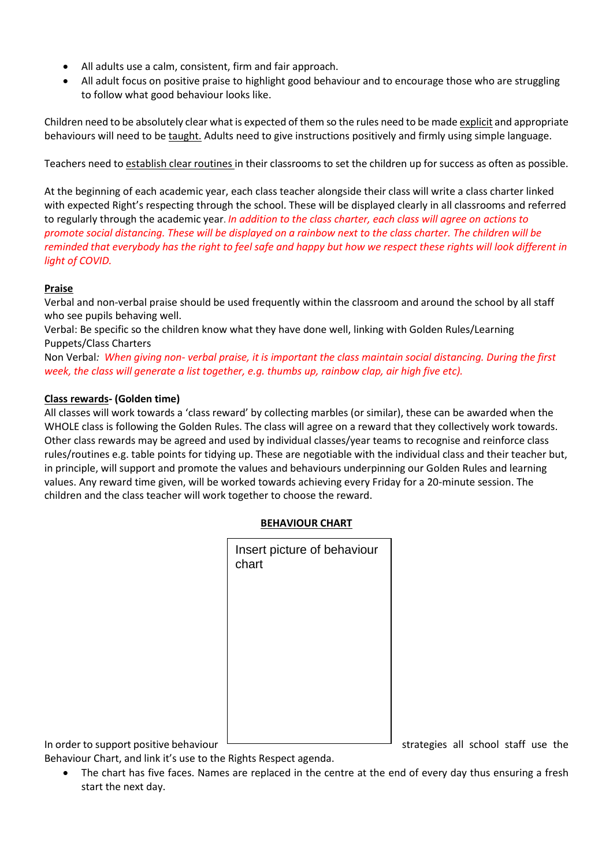- All adults use a calm, consistent, firm and fair approach.
- All adult focus on positive praise to highlight good behaviour and to encourage those who are struggling to follow what good behaviour looks like.

Children need to be absolutely clear what is expected of them so the rules need to be made explicit and appropriate behaviours will need to be taught. Adults need to give instructions positively and firmly using simple language.

Teachers need to establish clear routines in their classrooms to set the children up for success as often as possible.

At the beginning of each academic year, each class teacher alongside their class will write a class charter linked with expected Right's respecting through the school. These will be displayed clearly in all classrooms and referred to regularly through the academic year. *In addition to the class charter, each class will agree on actions to promote social distancing. These will be displayed on a rainbow next to the class charter. The children will be reminded that everybody has the right to feel safe and happy but how we respect these rights will look different in light of COVID.* 

## **Praise**

Verbal and non-verbal praise should be used frequently within the classroom and around the school by all staff who see pupils behaving well.

Verbal: Be specific so the children know what they have done well, linking with Golden Rules/Learning Puppets/Class Charters

Non Verbal*: When giving non- verbal praise, it is important the class maintain social distancing. During the first week, the class will generate a list together, e.g. thumbs up, rainbow clap, air high five etc).* 

## **Class rewards- (Golden time)**

All classes will work towards a 'class reward' by collecting marbles (or similar), these can be awarded when the WHOLE class is following the Golden Rules. The class will agree on a reward that they collectively work towards. Other class rewards may be agreed and used by individual classes/year teams to recognise and reinforce class rules/routines e.g. table points for tidying up. These are negotiable with the individual class and their teacher but, in principle, will support and promote the values and behaviours underpinning our Golden Rules and learning values. Any reward time given, will be worked towards achieving every Friday for a 20-minute session. The children and the class teacher will work together to choose the reward.

| Insert picture of behaviour<br>chart |  |
|--------------------------------------|--|
|                                      |  |
|                                      |  |
|                                      |  |
|                                      |  |

**BEHAVIOUR CHART**

In order to support positive behaviour  $\Box$  strategies all school staff use the

Behaviour Chart, and link it's use to the Rights Respect agenda.

The chart has five faces. Names are replaced in the centre at the end of every day thus ensuring a fresh start the next day.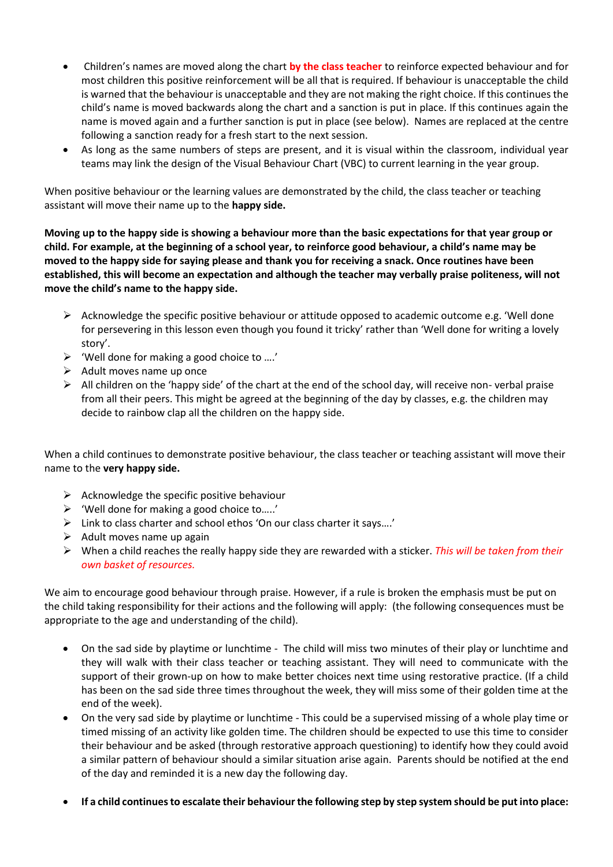- Children's names are moved along the chart **by the class teacher** to reinforce expected behaviour and for most children this positive reinforcement will be all that is required. If behaviour is unacceptable the child is warned that the behaviour is unacceptable and they are not making the right choice. If this continues the child's name is moved backwards along the chart and a sanction is put in place. If this continues again the name is moved again and a further sanction is put in place (see below). Names are replaced at the centre following a sanction ready for a fresh start to the next session.
- As long as the same numbers of steps are present, and it is visual within the classroom, individual year teams may link the design of the Visual Behaviour Chart (VBC) to current learning in the year group.

When positive behaviour or the learning values are demonstrated by the child, the class teacher or teaching assistant will move their name up to the **happy side.**

**Moving up to the happy side is showing a behaviour more than the basic expectations for that year group or child. For example, at the beginning of a school year, to reinforce good behaviour, a child's name may be moved to the happy side for saying please and thank you for receiving a snack. Once routines have been established, this will become an expectation and although the teacher may verbally praise politeness, will not move the child's name to the happy side.** 

- $\triangleright$  Acknowledge the specific positive behaviour or attitude opposed to academic outcome e.g. 'Well done for persevering in this lesson even though you found it tricky' rather than 'Well done for writing a lovely story'.
- ➢ 'Well done for making a good choice to ….'
- $\triangleright$  Adult moves name up once
- $\triangleright$  All children on the 'happy side' of the chart at the end of the school day, will receive non- verbal praise from all their peers. This might be agreed at the beginning of the day by classes, e.g. the children may decide to rainbow clap all the children on the happy side.

When a child continues to demonstrate positive behaviour, the class teacher or teaching assistant will move their name to the **very happy side.**

- $\triangleright$  Acknowledge the specific positive behaviour
- ➢ 'Well done for making a good choice to…..'
- ➢ Link to class charter and school ethos 'On our class charter it says….'
- $\triangleright$  Adult moves name up again
- ➢ When a child reaches the really happy side they are rewarded with a sticker. *This will be taken from their own basket of resources.*

We aim to encourage good behaviour through praise. However, if a rule is broken the emphasis must be put on the child taking responsibility for their actions and the following will apply: (the following consequences must be appropriate to the age and understanding of the child).

- On the sad side by playtime or lunchtime The child will miss two minutes of their play or lunchtime and they will walk with their class teacher or teaching assistant. They will need to communicate with the support of their grown-up on how to make better choices next time using restorative practice. (If a child has been on the sad side three times throughout the week, they will miss some of their golden time at the end of the week).
- On the very sad side by playtime or lunchtime This could be a supervised missing of a whole play time or timed missing of an activity like golden time. The children should be expected to use this time to consider their behaviour and be asked (through restorative approach questioning) to identify how they could avoid a similar pattern of behaviour should a similar situation arise again. Parents should be notified at the end of the day and reminded it is a new day the following day.
- **If a child continues to escalate their behaviour the following step by step system should be put into place:**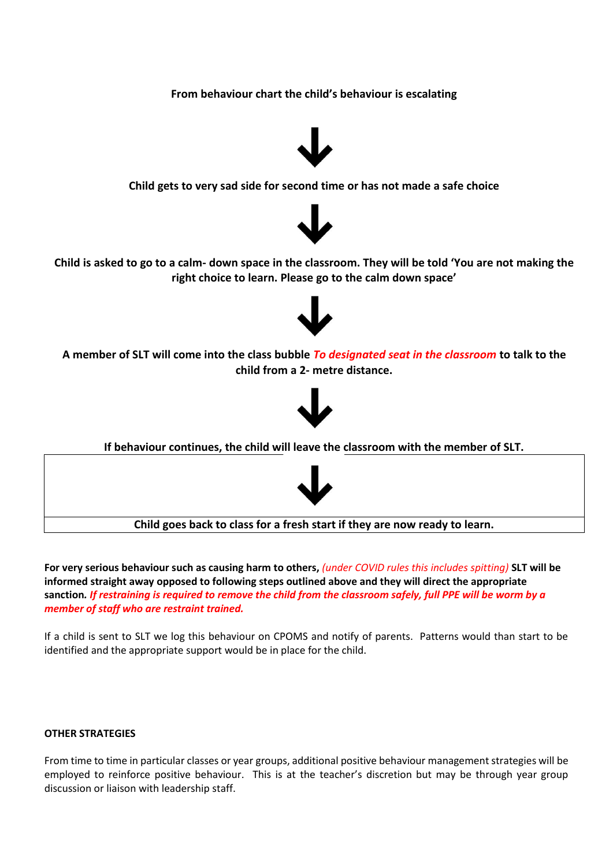**From behaviour chart the child's behaviour is escalating**



**Child gets to very sad side for second time or has not made a safe choice**



**Child is asked to go to a calm- down space in the classroom. They will be told 'You are not making the right choice to learn. Please go to the calm down space'**



**A member of SLT will come into the class bubble** *To designated seat in the classroom* **to talk to the child from a 2- [metre](http://www.google.co.uk/url?sa=i&rct=j&q=&esrc=s&source=images&cd=&cad=rja&uact=8&ved=0ahUKEwjNk-qAorTVAhWrCMAKHSkTAzoQjRwIBw&url=http://transparencia.esonora.gob.mx/Sonora/Transparencia/Poder%2BEjecutivo/Entidades/Universidad%2BEstatal%2Bde%2BSonora/&psig=AFQjCNGE_mwSRWhqwp8fYrZ-FaHYXvGgGA&ust=1501616091556891) distance.**



**If behaviour continues, the child will leave the classroom with the member of SLT.** 



**Child goes back to class for a fresh start if they are now ready to learn.**

**For very serious behaviour such as causing harm to others,** *(under COVID rules this includes spitting)* **SLT will be informed straight away opposed to following steps outlined above and they will direct the appropriate sanction***. If restraining is required to remove the child from the classroom safely, full PPE will be worm by a member of staff who are restraint trained.* 

If a child is sent to SLT we log this behaviour on CPOMS and notify of parents. Patterns would than start to be identified and the appropriate support would be in place for the child.

#### **OTHER STRATEGIES**

From time to time in particular classes or year groups, additional positive behaviour management strategies will be employed to reinforce positive behaviour. This is at the teacher's discretion but may be through year group discussion or liaison with leadership staff.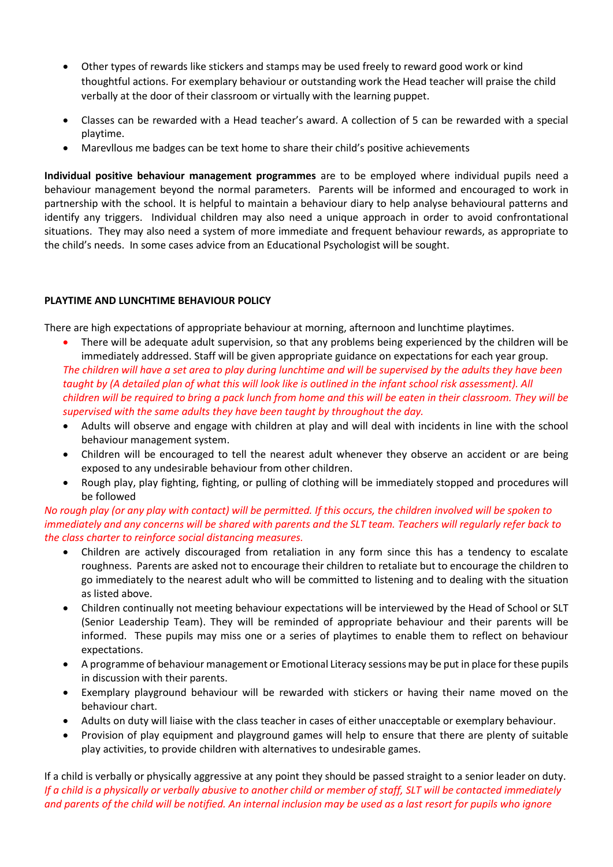- Other types of rewards like stickers and stamps may be used freely to reward good work or kind thoughtful actions. For exemplary behaviour or outstanding work the Head teacher will praise the child verbally at the door of their classroom or virtually with the learning puppet.
- Classes can be rewarded with a Head teacher's award. A collection of 5 can be rewarded with a special playtime.
- Marevllous me badges can be text home to share their child's positive achievements

**Individual positive behaviour management programmes** are to be employed where individual pupils need a behaviour management beyond the normal parameters. Parents will be informed and encouraged to work in partnership with the school. It is helpful to maintain a behaviour diary to help analyse behavioural patterns and identify any triggers. Individual children may also need a unique approach in order to avoid confrontational situations. They may also need a system of more immediate and frequent behaviour rewards, as appropriate to the child's needs. In some cases advice from an Educational Psychologist will be sought.

## **PLAYTIME AND LUNCHTIME BEHAVIOUR POLICY**

There are high expectations of appropriate behaviour at morning, afternoon and lunchtime playtimes.

- There will be adequate adult supervision, so that any problems being experienced by the children will be immediately addressed. Staff will be given appropriate guidance on expectations for each year group. *The children will have a set area to play during lunchtime and will be supervised by the adults they have been taught by (A detailed plan of what this will look like is outlined in the infant school risk assessment). All children will be required to bring a pack lunch from home and this will be eaten in their classroom. They will be supervised with the same adults they have been taught by throughout the day.*
- Adults will observe and engage with children at play and will deal with incidents in line with the school behaviour management system.
- Children will be encouraged to tell the nearest adult whenever they observe an accident or are being exposed to any undesirable behaviour from other children.
- Rough play, play fighting, fighting, or pulling of clothing will be immediately stopped and procedures will be followed

*No rough play (or any play with contact) will be permitted. If this occurs, the children involved will be spoken to immediately and any concerns will be shared with parents and the SLT team. Teachers will regularly refer back to the class charter to reinforce social distancing measures.* 

- Children are actively discouraged from retaliation in any form since this has a tendency to escalate roughness. Parents are asked not to encourage their children to retaliate but to encourage the children to go immediately to the nearest adult who will be committed to listening and to dealing with the situation as listed above.
- Children continually not meeting behaviour expectations will be interviewed by the Head of School or SLT (Senior Leadership Team). They will be reminded of appropriate behaviour and their parents will be informed. These pupils may miss one or a series of playtimes to enable them to reflect on behaviour expectations.
- A programme of behaviour management or Emotional Literacy sessions may be put in place for these pupils in discussion with their parents.
- Exemplary playground behaviour will be rewarded with stickers or having their name moved on the behaviour chart.
- Adults on duty will liaise with the class teacher in cases of either unacceptable or exemplary behaviour.
- Provision of play equipment and playground games will help to ensure that there are plenty of suitable play activities, to provide children with alternatives to undesirable games.

If a child is verbally or physically aggressive at any point they should be passed straight to a senior leader on duty. *If a child is a physically or verbally abusive to another child or member of staff, SLT will be contacted immediately and parents of the child will be notified. An internal inclusion may be used as a last resort for pupils who ignore*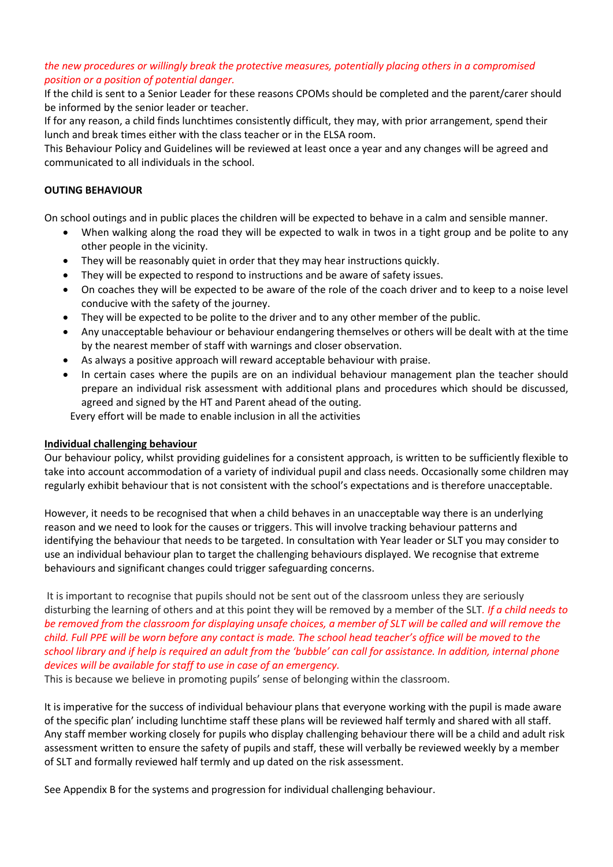## *the new procedures or willingly break the protective measures, potentially placing others in a compromised position or a position of potential danger.*

If the child is sent to a Senior Leader for these reasons CPOMs should be completed and the parent/carer should be informed by the senior leader or teacher.

If for any reason, a child finds lunchtimes consistently difficult, they may, with prior arrangement, spend their lunch and break times either with the class teacher or in the ELSA room.

This Behaviour Policy and Guidelines will be reviewed at least once a year and any changes will be agreed and communicated to all individuals in the school.

## **OUTING BEHAVIOUR**

On school outings and in public places the children will be expected to behave in a calm and sensible manner.

- When walking along the road they will be expected to walk in twos in a tight group and be polite to any other people in the vicinity.
- They will be reasonably quiet in order that they may hear instructions quickly.
- They will be expected to respond to instructions and be aware of safety issues.
- On coaches they will be expected to be aware of the role of the coach driver and to keep to a noise level conducive with the safety of the journey.
- They will be expected to be polite to the driver and to any other member of the public.
- Any unacceptable behaviour or behaviour endangering themselves or others will be dealt with at the time by the nearest member of staff with warnings and closer observation.
- As always a positive approach will reward acceptable behaviour with praise.
- In certain cases where the pupils are on an individual behaviour management plan the teacher should prepare an individual risk assessment with additional plans and procedures which should be discussed, agreed and signed by the HT and Parent ahead of the outing.

Every effort will be made to enable inclusion in all the activities

#### **Individual challenging behaviour**

Our behaviour policy, whilst providing guidelines for a consistent approach, is written to be sufficiently flexible to take into account accommodation of a variety of individual pupil and class needs. Occasionally some children may regularly exhibit behaviour that is not consistent with the school's expectations and is therefore unacceptable.

However, it needs to be recognised that when a child behaves in an unacceptable way there is an underlying reason and we need to look for the causes or triggers. This will involve tracking behaviour patterns and identifying the behaviour that needs to be targeted. In consultation with Year leader or SLT you may consider to use an individual behaviour plan to target the challenging behaviours displayed. We recognise that extreme behaviours and significant changes could trigger safeguarding concerns.

It is important to recognise that pupils should not be sent out of the classroom unless they are seriously disturbing the learning of others and at this point they will be removed by a member of the SLT*. If a child needs to be removed from the classroom for displaying unsafe choices, a member of SLT will be called and will remove the child. Full PPE will be worn before any contact is made. The school head teacher's office will be moved to the school library and if help is required an adult from the 'bubble' can call for assistance. In addition, internal phone devices will be available for staff to use in case of an emergency.* 

This is because we believe in promoting pupils' sense of belonging within the classroom.

It is imperative for the success of individual behaviour plans that everyone working with the pupil is made aware of the specific plan' including lunchtime staff these plans will be reviewed half termly and shared with all staff. Any staff member working closely for pupils who display challenging behaviour there will be a child and adult risk assessment written to ensure the safety of pupils and staff, these will verbally be reviewed weekly by a member of SLT and formally reviewed half termly and up dated on the risk assessment.

See Appendix B for the systems and progression for individual challenging behaviour.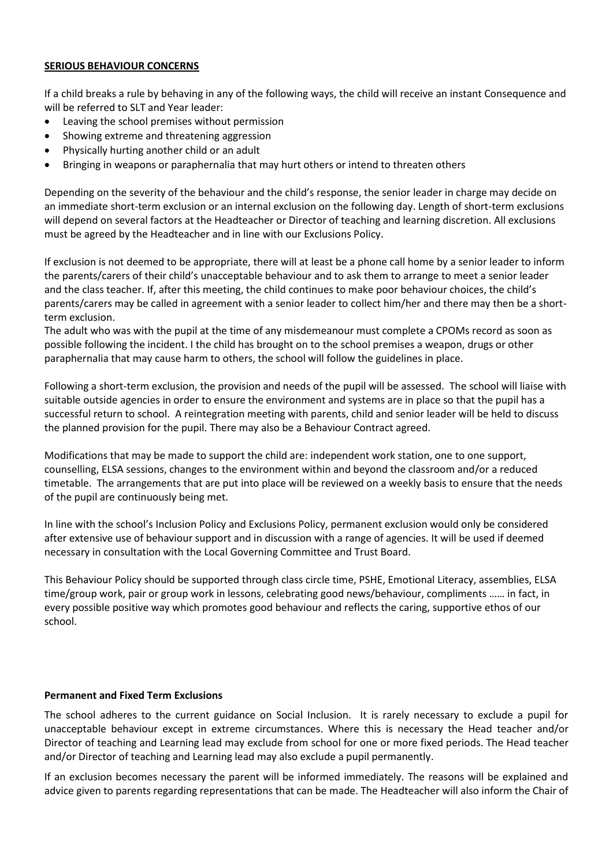## **SERIOUS BEHAVIOUR CONCERNS**

If a child breaks a rule by behaving in any of the following ways, the child will receive an instant Consequence and will be referred to SLT and Year leader:

- Leaving the school premises without permission
- Showing extreme and threatening aggression
- Physically hurting another child or an adult
- Bringing in weapons or paraphernalia that may hurt others or intend to threaten others

Depending on the severity of the behaviour and the child's response, the senior leader in charge may decide on an immediate short-term exclusion or an internal exclusion on the following day. Length of short-term exclusions will depend on several factors at the Headteacher or Director of teaching and learning discretion. All exclusions must be agreed by the Headteacher and in line with our Exclusions Policy.

If exclusion is not deemed to be appropriate, there will at least be a phone call home by a senior leader to inform the parents/carers of their child's unacceptable behaviour and to ask them to arrange to meet a senior leader and the class teacher. If, after this meeting, the child continues to make poor behaviour choices, the child's parents/carers may be called in agreement with a senior leader to collect him/her and there may then be a shortterm exclusion.

The adult who was with the pupil at the time of any misdemeanour must complete a CPOMs record as soon as possible following the incident. I the child has brought on to the school premises a weapon, drugs or other paraphernalia that may cause harm to others, the school will follow the guidelines in place.

Following a short-term exclusion, the provision and needs of the pupil will be assessed. The school will liaise with suitable outside agencies in order to ensure the environment and systems are in place so that the pupil has a successful return to school. A reintegration meeting with parents, child and senior leader will be held to discuss the planned provision for the pupil. There may also be a Behaviour Contract agreed.

Modifications that may be made to support the child are: independent work station, one to one support, counselling, ELSA sessions, changes to the environment within and beyond the classroom and/or a reduced timetable. The arrangements that are put into place will be reviewed on a weekly basis to ensure that the needs of the pupil are continuously being met.

In line with the school's Inclusion Policy and Exclusions Policy, permanent exclusion would only be considered after extensive use of behaviour support and in discussion with a range of agencies. It will be used if deemed necessary in consultation with the Local Governing Committee and Trust Board.

This Behaviour Policy should be supported through class circle time, PSHE, Emotional Literacy, assemblies, ELSA time/group work, pair or group work in lessons, celebrating good news/behaviour, compliments …… in fact, in every possible positive way which promotes good behaviour and reflects the caring, supportive ethos of our school.

#### **Permanent and Fixed Term Exclusions**

The school adheres to the current guidance on Social Inclusion. It is rarely necessary to exclude a pupil for unacceptable behaviour except in extreme circumstances. Where this is necessary the Head teacher and/or Director of teaching and Learning lead may exclude from school for one or more fixed periods. The Head teacher and/or Director of teaching and Learning lead may also exclude a pupil permanently.

If an exclusion becomes necessary the parent will be informed immediately. The reasons will be explained and advice given to parents regarding representations that can be made. The Headteacher will also inform the Chair of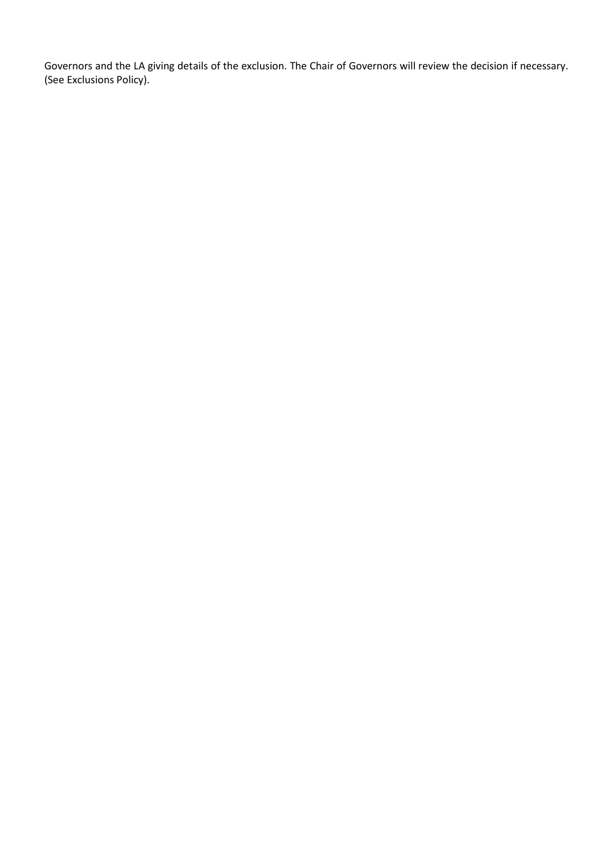Governors and the LA giving details of the exclusion. The Chair of Governors will review the decision if necessary. (See Exclusions Policy).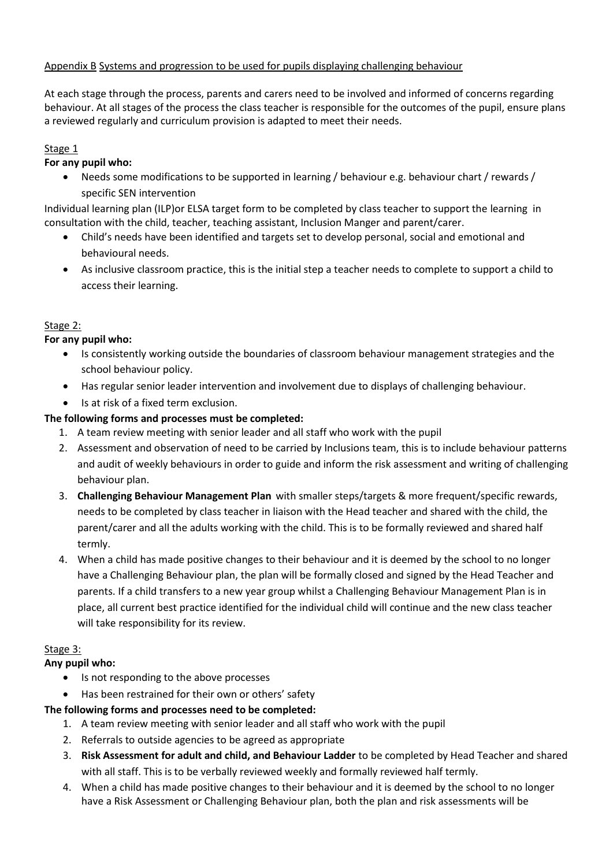# Appendix B Systems and progression to be used for pupils displaying challenging behaviour

At each stage through the process, parents and carers need to be involved and informed of concerns regarding behaviour. At all stages of the process the class teacher is responsible for the outcomes of the pupil, ensure plans a reviewed regularly and curriculum provision is adapted to meet their needs.

## Stage 1

## **For any pupil who:**

• Needs some modifications to be supported in learning / behaviour e.g. behaviour chart / rewards / specific SEN intervention

Individual learning plan (ILP)or ELSA target form to be completed by class teacher to support the learning in consultation with the child, teacher, teaching assistant, Inclusion Manger and parent/carer.

- Child's needs have been identified and targets set to develop personal, social and emotional and behavioural needs.
- As inclusive classroom practice, this is the initial step a teacher needs to complete to support a child to access their learning.

## Stage 2:

## **For any pupil who:**

- Is consistently working outside the boundaries of classroom behaviour management strategies and the school behaviour policy.
- Has regular senior leader intervention and involvement due to displays of challenging behaviour.
- Is at risk of a fixed term exclusion.

## **The following forms and processes must be completed:**

- 1. A team review meeting with senior leader and all staff who work with the pupil
- 2. Assessment and observation of need to be carried by Inclusions team, this is to include behaviour patterns and audit of weekly behaviours in order to guide and inform the risk assessment and writing of challenging behaviour plan.
- 3. **Challenging Behaviour Management Plan** with smaller steps/targets & more frequent/specific rewards, needs to be completed by class teacher in liaison with the Head teacher and shared with the child, the parent/carer and all the adults working with the child. This is to be formally reviewed and shared half termly.
- 4. When a child has made positive changes to their behaviour and it is deemed by the school to no longer have a Challenging Behaviour plan, the plan will be formally closed and signed by the Head Teacher and parents. If a child transfers to a new year group whilst a Challenging Behaviour Management Plan is in place, all current best practice identified for the individual child will continue and the new class teacher will take responsibility for its review.

## Stage 3:

## **Any pupil who:**

- Is not responding to the above processes
- Has been restrained for their own or others' safety

## **The following forms and processes need to be completed:**

- 1. A team review meeting with senior leader and all staff who work with the pupil
- 2. Referrals to outside agencies to be agreed as appropriate
- 3. **Risk Assessment for adult and child, and Behaviour Ladder** to be completed by Head Teacher and shared with all staff. This is to be verbally reviewed weekly and formally reviewed half termly.
- 4. When a child has made positive changes to their behaviour and it is deemed by the school to no longer have a Risk Assessment or Challenging Behaviour plan, both the plan and risk assessments will be